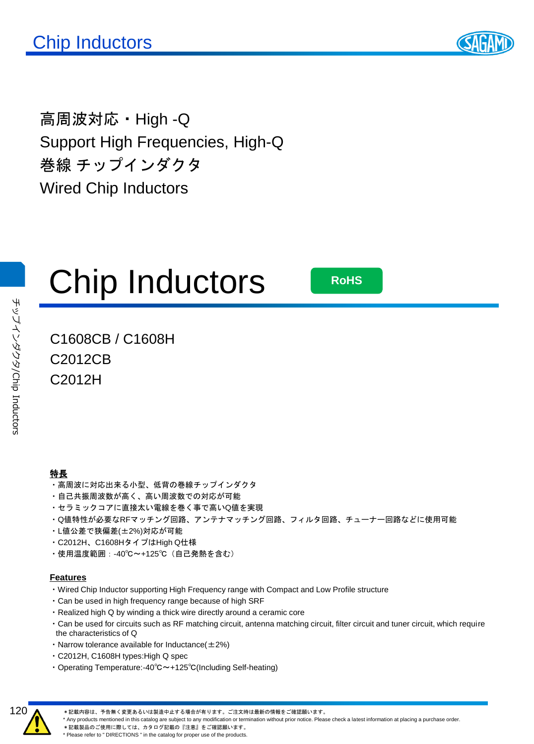

高周波対応・High -Q Support High Frequencies, High-Q 巻線 チップインダクタ Wired Chip Inductors



**RoHS**

### C1608CB / C1608H C2012CB C2012H

#### 特長

- ・高周波に対応出来る小型、低背の巻線チップインダクタ
- ・自己共振周波数が高く、高い周波数での対応が可能
- ・セラミックコアに直接太い電線を巻く事で高いQ値を実現
- ・Q値特性が必要なRFマッチング回路、アンテナマッチング回路、フィルタ回路、チューナー回路などに使用可能
- ・L値公差で狭偏差(±2%)対応が可能
- ・C2012H、C1608HタイプはHigh Q仕様
- ・使用温度範囲:-40℃~+125℃(自己発熱を含む)

#### **Features**

- ・Wired Chip Inductor supporting High Frequency range with Compact and Low Profile structure
- ・Can be used in high frequency range because of high SRF
- ・Realized high Q by winding a thick wire directly around a ceramic core
- ・Can be used for circuits such as RF matching circuit, antenna matching circuit, filter circuit and tuner circuit, which require the characteristics of Q
- Narrow tolerance available for Inductance $(\pm 2\%)$
- ・C2012H, C1608H types:High Q spec
- ・Operating Temperature:-40℃~+125℃(Including Self-heating)



\*記載内容は、予告無く変更あるいは製造中止する場合が有ります。ご注文時は最新の情報をご確認願います。

\* Any products mentioned in this catalog are subject to any modification or termination without prior notice. Please check a latest information at placing a purchase order.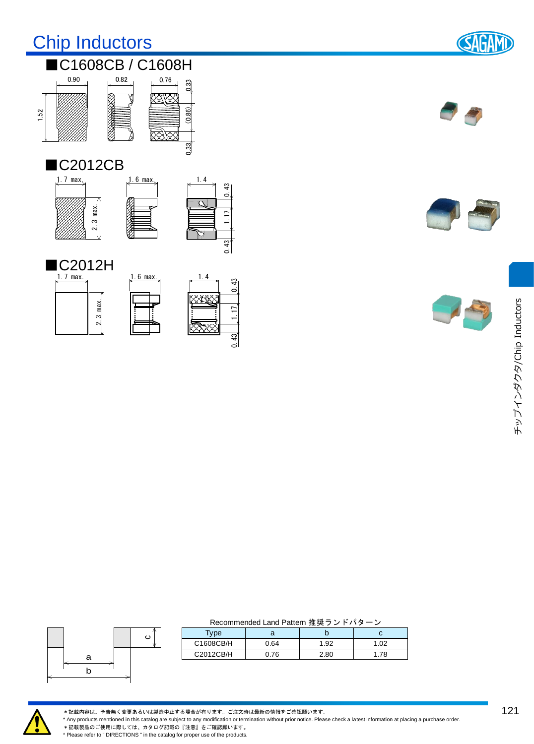## Chip Inductors



#### ■C1608CB / C1608H 0.90 0.33



#### ■C2012CB





 $(0.86)$ 

0.33

#### ■C2012H 1.7 max.





1.17  $0.43$  1.17  $0.43$ 

 $0.43$ 

 $43$ <u>ਂ</u>







#### ca b

| Recommended Land Pattern 推奨ランドパターン |  |
|------------------------------------|--|
|------------------------------------|--|

| <b>Type</b> |      |       |    |  |  |  |
|-------------|------|-------|----|--|--|--|
| C1608CB/H   | 0.64 | 92. ا | റാ |  |  |  |
| C2012CB/H   | 0.76 | 2.80  |    |  |  |  |



\*記載内容は、予告無く変更あるいは製造中止する場合が有ります。ご注文時は最新の情報をご確認願います。

\* Any products mentioned in this catalog are subject to any modification or termination without prior notice. Please check a latest information at placing a purchase order.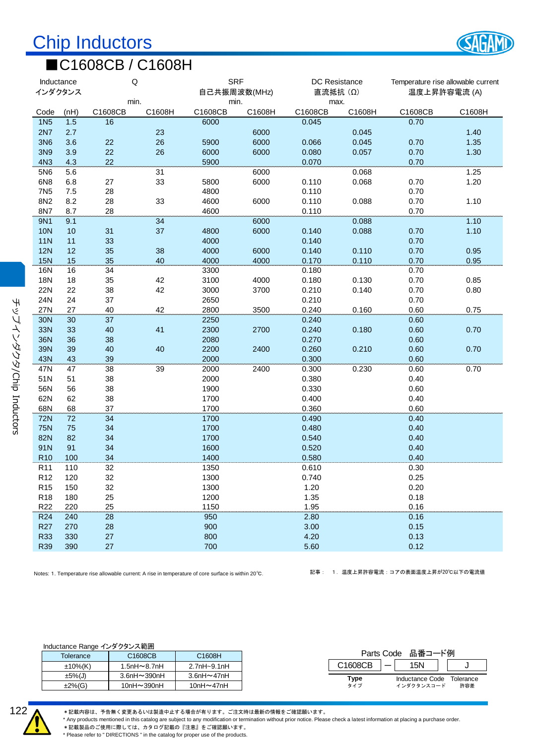

#### ■C1608CB / C1608H

| Inductance<br>インダクタンス |           |                            | Q                                                                                                   | <b>SRF</b><br>自己共振周波数(MHz) |        |                 | DC Resistance<br>直流抵抗 (Ω) |                                | Temperature rise allowable current<br>温度上昇許容電流 (A) |
|-----------------------|-----------|----------------------------|-----------------------------------------------------------------------------------------------------|----------------------------|--------|-----------------|---------------------------|--------------------------------|----------------------------------------------------|
| Code                  | (nH)      | C1608CB                    | min.<br>C1608H                                                                                      | min.<br>C1608CB            | C1608H | max.<br>C1608CB | C1608H                    | C1608CB                        | C1608H                                             |
| <b>1N5</b>            | 1.5       | 16                         |                                                                                                     | 6000                       |        | 0.045           |                           | 0.70                           |                                                    |
| 2N7                   | 2.7       |                            | 23                                                                                                  |                            | 6000   |                 | 0.045                     |                                | 1.40                                               |
| <b>3N6</b>            | 3.6       | 22                         | 26                                                                                                  | 5900                       | 6000   | 0.066           | 0.045                     | 0.70                           | 1.35                                               |
| 3N9                   | 3.9       | 22                         | 26                                                                                                  | 6000                       | 6000   | 0.080           | 0.057                     | 0.70                           | 1.30                                               |
| 4N3                   | 4.3       | 22                         |                                                                                                     | 5900                       |        | 0.070           |                           | 0.70                           |                                                    |
| 5N6                   | 5.6       |                            | 31                                                                                                  |                            | 6000   |                 | 0.068                     |                                | 1.25                                               |
| 6N <sub>8</sub>       | 6.8       | 27                         | 33                                                                                                  | 5800                       | 6000   | 0.110           | 0.068                     | 0.70                           | 1.20                                               |
| <b>7N5</b>            | 7.5       | 28                         |                                                                                                     | 4800                       |        | 0.110           |                           | 0.70                           |                                                    |
| 8N2                   | 8.2       | 28                         | 33                                                                                                  | 4600                       | 6000   | 0.110           | 0.088                     | 0.70                           | 1.10                                               |
| 8N7                   | 8.7       | 28                         |                                                                                                     | 4600                       |        | 0.110           |                           | 0.70                           |                                                    |
| <b>9N1</b>            | 9.1       |                            | 34                                                                                                  |                            | 6000   |                 | 0.088                     |                                | 1.10                                               |
| <b>10N</b>            | 10        | 31                         | 37                                                                                                  | 4800                       | 6000   | 0.140           | 0.088                     | 0.70                           | 1.10                                               |
| <b>11N</b>            | 11        | 33                         |                                                                                                     | 4000                       |        | 0.140           |                           | 0.70                           |                                                    |
| <b>12N</b>            | 12        | 35                         | 38                                                                                                  | 4000                       | 6000   | 0.140           | 0.110                     | 0.70                           | 0.95                                               |
| <b>15N</b>            | 15        | 35                         | 40                                                                                                  | 4000                       | 4000   | 0.170           | 0.110                     | 0.70                           | 0.95                                               |
| 16N                   | 16        | 34                         |                                                                                                     | 3300                       |        | 0.180           |                           | 0.70                           |                                                    |
| 18N                   | 18        | 35                         | 42                                                                                                  | 3100                       | 4000   | 0.180           | 0.130                     | 0.70                           | 0.85                                               |
| 22N                   | 22        | 38                         | 42                                                                                                  | 3000                       | 3700   | 0.210           | 0.140                     | 0.70                           | 0.80                                               |
| 24N                   | 24        | 37                         |                                                                                                     | 2650                       |        | 0.210           |                           | 0.70                           |                                                    |
| 27N                   | 27        | 40                         | 42                                                                                                  | 2800                       | 3500   | 0.240           | 0.160                     | 0.60                           | 0.75                                               |
| 30N                   | 30        | 37                         |                                                                                                     | 2250                       |        | 0.240           |                           | 0.60                           |                                                    |
| 33N                   | 33        | 40                         | 41                                                                                                  | 2300                       | 2700   | 0.240           | 0.180                     | 0.60                           | 0.70                                               |
| <b>36N</b>            | 36        | 38                         |                                                                                                     | 2080                       |        | 0.270           |                           | 0.60                           |                                                    |
| 39N                   | 39        | 40                         | 40                                                                                                  | 2200                       | 2400   | 0.260           | 0.210                     | 0.60                           | 0.70                                               |
| 43N                   | 43        | 39                         |                                                                                                     | 2000                       |        | 0.300           |                           | 0.60                           |                                                    |
| 47N                   | 47        | 38                         | 39                                                                                                  | 2000                       | 2400   | 0.300           | 0.230                     | 0.60                           | 0.70                                               |
| 51N                   | 51        | 38                         |                                                                                                     | 2000                       |        | 0.380           |                           | 0.40                           |                                                    |
| 56N                   | 56        | 38                         |                                                                                                     | 1900                       |        | 0.330           |                           | 0.60                           |                                                    |
| 62N                   | 62        | 38                         |                                                                                                     | 1700                       |        | 0.400           |                           | 0.40                           |                                                    |
| 68N                   | 68        | 37                         |                                                                                                     | 1700                       |        | 0.360           |                           | 0.60                           |                                                    |
| <b>72N</b>            | 72        | 34                         |                                                                                                     | 1700                       |        | 0.490           |                           | 0.40                           |                                                    |
| <b>75N</b>            | 75        | 34                         |                                                                                                     | 1700                       |        | 0.480           |                           | 0.40                           |                                                    |
| 82N                   | 82        | 34                         |                                                                                                     | 1700                       |        | 0.540           |                           | 0.40                           |                                                    |
| 91N                   | 91        | 34                         |                                                                                                     | 1600                       |        | 0.520           |                           | 0.40                           |                                                    |
| <b>R10</b>            | 100       | 34                         |                                                                                                     | 1400                       |        | 0.580           |                           | 0.40                           |                                                    |
| R <sub>11</sub>       | 110       | 32                         |                                                                                                     | 1350                       |        | 0.610           |                           | 0.30                           |                                                    |
| R <sub>12</sub>       | 120       | 32                         |                                                                                                     | 1300                       |        | 0.740           |                           | 0.25                           |                                                    |
| R <sub>15</sub>       | 150       | 32                         |                                                                                                     | 1300                       |        | 1.20            |                           | 0.20                           |                                                    |
| R <sub>18</sub>       | 180       | 25                         |                                                                                                     | 1200                       |        | 1.35            |                           | 0.18                           |                                                    |
| R <sub>22</sub>       | 220       | 25                         |                                                                                                     | 1150                       |        | 1.95            |                           | 0.16                           |                                                    |
| <b>R24</b>            | 240       | 28                         |                                                                                                     | 950                        |        | 2.80            |                           | 0.16                           |                                                    |
| R <sub>27</sub>       | 270       | 28                         |                                                                                                     | 900                        |        | 3.00            |                           | 0.15                           |                                                    |
| <b>R33</b>            | 330       | 27                         |                                                                                                     | 800                        |        | 4.20            |                           | 0.13                           |                                                    |
| <b>R39</b>            | 390       | 27                         |                                                                                                     | 700                        |        | 5.60            |                           | 0.12                           |                                                    |
|                       |           |                            |                                                                                                     |                            |        |                 |                           |                                |                                                    |
|                       |           |                            |                                                                                                     |                            |        | 記事:             |                           | 1.温度上昇許容電流:コアの表面温度上昇が20℃以下の電流値 |                                                    |
|                       |           |                            | Notes: 1. Temperature rise allowable current: A rise in temperature of core surface is within 20°C. |                            |        |                 |                           |                                |                                                    |
|                       |           |                            |                                                                                                     |                            |        |                 |                           |                                |                                                    |
|                       |           |                            |                                                                                                     |                            |        |                 |                           |                                |                                                    |
|                       |           |                            |                                                                                                     |                            |        |                 |                           |                                |                                                    |
|                       |           |                            |                                                                                                     |                            |        |                 |                           |                                |                                                    |
|                       |           |                            |                                                                                                     |                            |        |                 |                           |                                |                                                    |
|                       |           |                            |                                                                                                     |                            |        |                 |                           |                                |                                                    |
|                       |           | Inductance Range インダクタンス範囲 |                                                                                                     |                            |        |                 |                           |                                |                                                    |
|                       | Tolerance |                            | C1608CB                                                                                             | C1608H                     |        |                 |                           | Parts Code 品番コード例              |                                                    |

Inductance Range インダクタンス範囲

|             | $1.000(0.100 + 0.01)$ go $1 - 7$ $7 - 7 - 7$ |                     |  |  |  |  |  |
|-------------|----------------------------------------------|---------------------|--|--|--|--|--|
| Tolerance   | C <sub>1608</sub> C <sub>B</sub>             | C <sub>1608</sub> H |  |  |  |  |  |
| $±10\%$ (K) | 1.5nH $\sim$ 8.7nH                           | $2.7nH - 9.1nH$     |  |  |  |  |  |
| $±5\%$ (J)  | $3.6nH \sim 390nH$                           | $3.6nH \sim 47nH$   |  |  |  |  |  |
| $±2\%(G)$   | $10nH \sim 390nH$                            | 10nH $\sim$ 47nH    |  |  |  |  |  |
|             |                                              |                     |  |  |  |  |  |

| Parts Code 品番コード例 |  |                                         |  |     |  |
|-------------------|--|-----------------------------------------|--|-----|--|
| C1608CB           |  |                                         |  |     |  |
| Type<br>タイプ       |  | Inductance Code Tolerance<br>インダクタンスコード |  | 許容差 |  |



チップインダクタ

/Chip Inductors

チップインダクタ/Chip Inductors

\*記載内容は、予告無く変更あるいは製造中止する場合が有ります。ご注文時は最新の情報をご確認願います。

\* Any products mentioned in this catalog are subject to any modification or termination without prior notice. Please check a latest information at placing a purchase order.

\*記載製品のご使用に際しては、カタログ記載の『注意』<br>※記載製品のご使用に際しては、カタログ記載の『注意』をご確認願います。 \* Please refer to " DIRECTIONS " in the catalog for proper use of the products.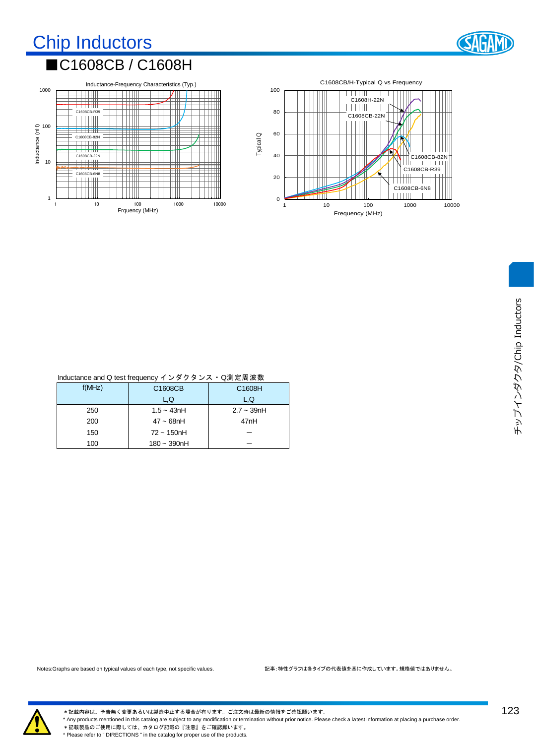## Chip Inductors



#### ■C1608CB / C1608H





| Inductance and Q test frequency インダクタンス・Q測定周波数 |  |
|------------------------------------------------|--|
|                                                |  |

| $\sim$ $\sim$ $\sim$ $\sim$ $\sim$ $\sim$ |                |                  |  |  |  |  |
|-------------------------------------------|----------------|------------------|--|--|--|--|
| f(MHz)                                    | C1608CB        | C1608H           |  |  |  |  |
|                                           | L.Q            | L.Q              |  |  |  |  |
| 250                                       | $1.5 - 43nH$   | $2.7 - 39nH$     |  |  |  |  |
| 200                                       | $47 - 68$ nH   | 47 <sub>nH</sub> |  |  |  |  |
| 150                                       | $72 - 150$ nH  |                  |  |  |  |  |
| 100                                       | $180 - 390$ nH |                  |  |  |  |  |

チップインダクタ/Chip Inductors チップインダクタ/Chip Inductors



\*記載内容は、予告無く変更あるいは製造中止する場合が有ります。ご注文時は最新の情報をご確認願います。 \* Any products mentioned in this catalog are subject to any modification or termination without prior notice. Please check a latest information at placing a purchase order. \*記載製品のご使用に際しては、カタログ記載の『注意』をご確認願います。 \* Please refer to " DIRECTIONS " in the catalog for proper use of the products.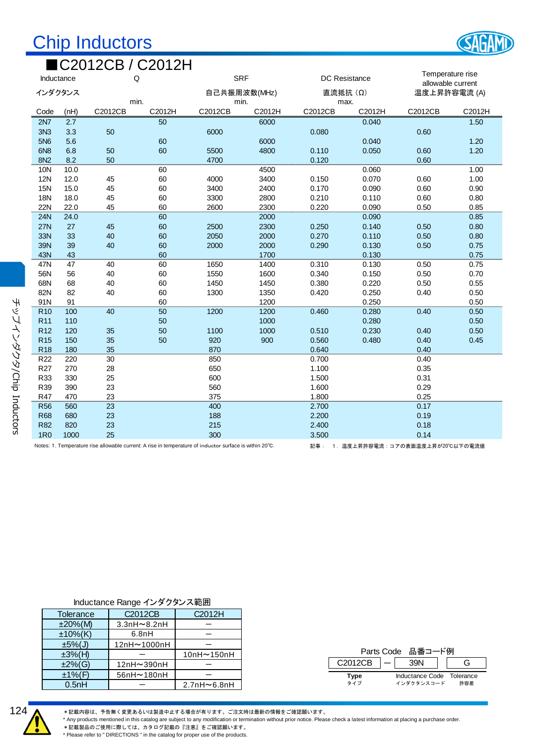## Chip Inductors

|                 | ■C2012CB / C2012H |         |        |                                                                                                         |        |                                       |        |                                     |        |
|-----------------|-------------------|---------|--------|---------------------------------------------------------------------------------------------------------|--------|---------------------------------------|--------|-------------------------------------|--------|
|                 | Q<br>Inductance   |         |        | <b>SRF</b><br><b>DC Resistance</b>                                                                      |        | Temperature rise<br>allowable current |        |                                     |        |
| インダクタンス         |                   | min.    |        | 自己共振周波数(MHz)<br>min.                                                                                    |        | 直流抵抗 (Ω)<br>max.                      |        | 温度上昇許容電流 (A)                        |        |
| Code            | (nH)              | C2012CB | C2012H | C2012CB                                                                                                 | C2012H | C2012CB                               | C2012H | C2012CB                             | C2012H |
| <b>2N7</b>      | 2.7               |         | 50     |                                                                                                         | 6000   |                                       | 0.040  |                                     | 1.50   |
| 3N <sub>3</sub> | 3.3               | 50      |        | 6000                                                                                                    |        | 0.080                                 |        | 0.60                                |        |
| 5N <sub>6</sub> | 5.6               |         | 60     |                                                                                                         | 6000   |                                       | 0.040  |                                     | 1.20   |
| 6N <sub>8</sub> | 6.8               | 50      | 60     | 5500                                                                                                    | 4800   | 0.110                                 | 0.050  | 0.60                                | 1.20   |
| <b>8N2</b>      | 8.2               | 50      |        | 4700                                                                                                    |        | 0.120                                 |        | 0.60                                |        |
| 10N             | 10.0              |         | 60     |                                                                                                         | 4500   |                                       | 0.060  |                                     | 1.00   |
| <b>12N</b>      | 12.0              | 45      | 60     | 4000                                                                                                    | 3400   | 0.150                                 | 0.070  | 0.60                                | 1.00   |
| <b>15N</b>      | 15.0              | 45      | 60     | 3400                                                                                                    | 2400   | 0.170                                 | 0.090  | 0.60                                | 0.90   |
| 18N             | 18.0              | 45      | 60     | 3300                                                                                                    | 2800   | 0.210                                 | 0.110  | 0.60                                | 0.80   |
| 22N             | 22.0              | 45      | 60     | 2600                                                                                                    | 2300   | 0.220                                 | 0.090  | 0.50                                | 0.85   |
| <b>24N</b>      | 24.0              |         | 60     |                                                                                                         | 2000   |                                       | 0.090  |                                     | 0.85   |
| <b>27N</b>      | 27                | 45      | 60     | 2500                                                                                                    | 2300   | 0.250                                 | 0.140  | 0.50                                | 0.80   |
| 33N             | 33                | 40      | 60     | 2050                                                                                                    | 2000   | 0.270                                 | 0.110  | 0.50                                | 0.80   |
| 39N             | 39                | 40      | 60     | 2000                                                                                                    | 2000   | 0.290                                 | 0.130  | 0.50                                | 0.75   |
| 43N             | 43                |         | 60     |                                                                                                         | 1700   |                                       | 0.130  |                                     | 0.75   |
| 47N             | 47                | 40      | 60     | 1650                                                                                                    | 1400   | 0.310                                 | 0.130  | 0.50                                | 0.75   |
| 56N             | 56                | 40      | 60     | 1550                                                                                                    | 1600   | 0.340                                 | 0.150  | 0.50                                | 0.70   |
| 68N             | 68                | 40      | 60     | 1450                                                                                                    | 1450   | 0.380                                 | 0.220  | 0.50                                | 0.55   |
| 82N             | 82                | 40      | 60     | 1300                                                                                                    | 1350   | 0.420                                 | 0.250  | 0.40                                | 0.50   |
| 91N             | 91                |         | 60     |                                                                                                         | 1200   |                                       | 0.250  |                                     | 0.50   |
| R <sub>10</sub> | 100               | 40      | 50     | 1200                                                                                                    | 1200   | 0.460                                 | 0.280  | 0.40                                | 0.50   |
| R <sub>11</sub> | 110               |         | 50     |                                                                                                         | 1000   |                                       | 0.280  |                                     | 0.50   |
| R <sub>12</sub> | 120               | 35      | 50     | 1100                                                                                                    | 1000   | 0.510                                 | 0.230  | 0.40                                | 0.50   |
| <b>R15</b>      | 150               | 35      | 50     | 920                                                                                                     | 900    | 0.560                                 | 0.480  | 0.40                                | 0.45   |
| <b>R18</b>      | 180               | 35      |        | 870                                                                                                     |        | 0.640                                 |        | 0.40                                |        |
| R <sub>22</sub> | 220               | 30      |        | 850                                                                                                     |        | 0.700                                 |        | 0.40                                |        |
| R <sub>27</sub> | 270               | 28      |        | 650                                                                                                     |        | 1.100                                 |        | 0.35                                |        |
| R33             | 330               | 25      |        | 600                                                                                                     |        | 1.500                                 |        | 0.31                                |        |
| R39             | 390               | 23      |        | 560                                                                                                     |        | 1.600                                 |        | 0.29                                |        |
| R47             | 470               | 23      |        | 375                                                                                                     |        | 1.800                                 |        | 0.25                                |        |
| <b>R56</b>      | 560               | 23      |        | 400                                                                                                     |        | 2.700                                 |        | 0.17                                |        |
| <b>R68</b>      | 680               | 23      |        | 188                                                                                                     |        | 2.200                                 |        | 0.19                                |        |
| <b>R82</b>      | 820               | 23      |        | 215                                                                                                     |        | 2.400                                 |        | 0.18                                |        |
| <b>1R0</b>      | 1000              | 25      |        | 300                                                                                                     |        | 3.500                                 |        | 0.14                                |        |
|                 |                   |         |        | Notes: 1. Temperature rise allowable current: A rise in temperature of inductor surface is within 20°C. |        |                                       |        | 記事: 1. 温度上昇許容電流:コアの表面温度上昇が20℃以下の電流値 |        |

#### Inductance Range インダクタンス範囲

| Tolerance          | C <sub>2012</sub> C <sub>B</sub> | C <sub>2012</sub> H |
|--------------------|----------------------------------|---------------------|
| $±20\%$ (M)        | $3.3nH \sim 8.2nH$               |                     |
| $±10%$ (K)         | 6.8nH                            |                     |
| $\pm 5\%$ (J)      | 12nH~1000nH                      |                     |
| $±3%$ (H)          |                                  | 10nH~150nH          |
| $±2%$ (G)          | 12nH~390nH                       |                     |
| $±1\%$ (F)         | 56nH~180nH                       |                     |
| 0.5 <sub>h</sub> H |                                  | $2.7nH \sim 6.8nH$  |
|                    |                                  |                     |

|         |            | Parts Code 品番コ |  |                                  |
|---------|------------|----------------|--|----------------------------------|
| C2012CB |            |                |  |                                  |
| Type    | インダクタンスコード |                |  | Inductance Code Tolerance<br>許容差 |



\*記載内容は、予告無く変更あるいは製造中止する場合が有ります。ご注文時は最新の情報をご確認願います。 \* Any products mentioned in this catalog are subject to any modification or termination without prior notice. Please check a latest information at placing a purchase order. \*記載製品のご使用に際しては、カタログ記載の『注意』をご確認願います。 \* Please refer to " DIRECTIONS " in the catalog for proper use of the products.

チップインダクタ

/Chip Inductors

チップインダクタ/Chip Inductors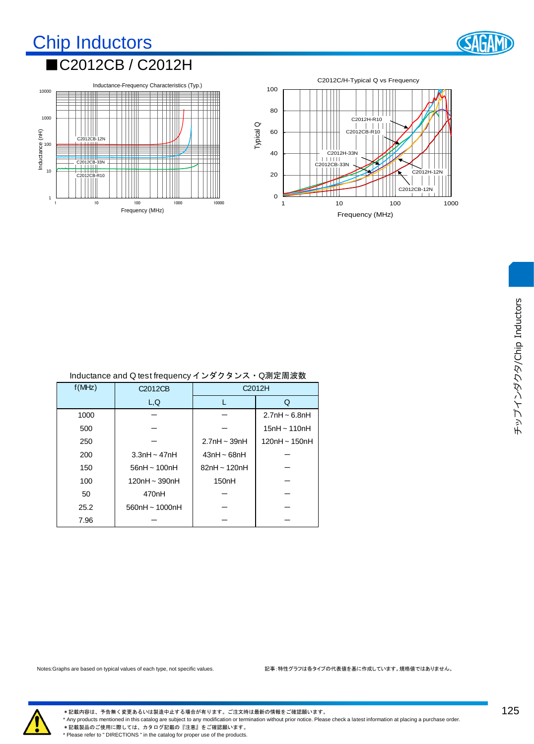### Chip Inductors ■C2012CB / C2012H





| $\frac{1}{2}$ |                      |                    |                    |  |  |  |
|---------------|----------------------|--------------------|--------------------|--|--|--|
| f(MHz)        | C <sub>2012</sub> CB | C2012H             |                    |  |  |  |
|               | L, Q                 |                    | Q                  |  |  |  |
| 1000          |                      |                    | $2.7nH \sim 6.8nH$ |  |  |  |
| 500           |                      |                    | $15nH \sim 110nH$  |  |  |  |
| 250           |                      | $2.7nH \sim 39nH$  | 120nH ~ 150nH      |  |  |  |
| 200           | $3.3nH \sim 47nH$    | $43nH \sim 68nH$   |                    |  |  |  |
| 150           | $56nH \sim 100nH$    | $82nH \sim 120nH$  |                    |  |  |  |
| 100           | 120nH ~ 390nH        | 150 <sub>n</sub> H |                    |  |  |  |
| 50            | 470 <sub>n</sub> H   |                    |                    |  |  |  |
| 25.2          | $560nH \sim 1000nH$  |                    |                    |  |  |  |
| 7.96          |                      |                    |                    |  |  |  |
|               |                      |                    |                    |  |  |  |

| Inductance and Q test frequency インダクタンス・Q測定周波数 |  |  |
|------------------------------------------------|--|--|
|                                                |  |  |



\*記載内容は、予告無く変更あるいは製造中止する場合が有ります。ご注文時は最新の情報をご確認願います。 \* Any products mentioned in this catalog are subject to any modification or termination without prior notice. Please check a latest information at placing a purchase order. \*記載製品のご使用に際しては、カタログ記載の『注意』をご確認願います。 \* Please refer to " DIRECTIONS " in the catalog for proper use of the products.

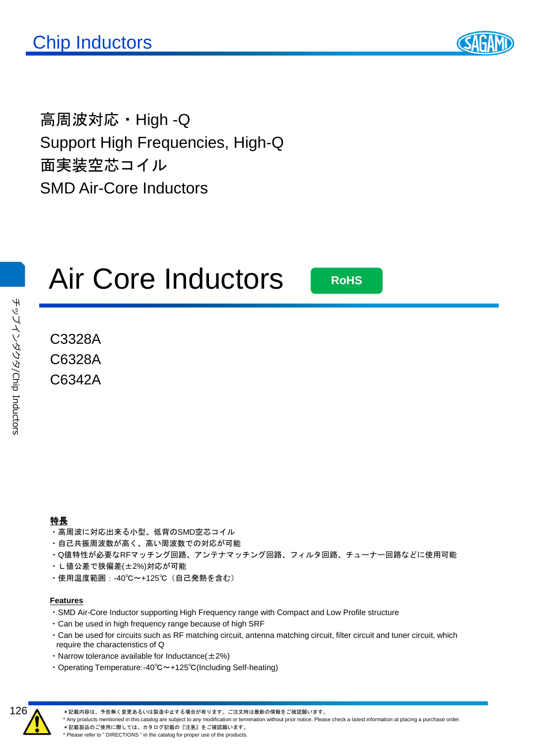

高周波対応・High -Q Support High Frequencies, High-Q 面実装空芯コイル SMD Air-Core Inductors

## Air Core Inductors

**RoHS**

C3328A C6328A C6342A

- ・高周波に対応出来る小型、低背のSMD空芯コイル
- ・自己共振周波数が高く、高い周波数での対応が可能
- ・Q値特性が必要なRFマッチング回路、アンテナマッチング回路、フィルタ回路、チューナー回路などに使用可能
- ・L値公差で狭偏差(±2%)対応が可能
- ・使用温度範囲:-40℃~+125℃(自己発熱を含む)

#### **Features**

- ・SMD Air-Core Inductor supporting High Frequency range with Compact and Low Profile structure
- ・Can be used in high frequency range because of high SRF
- ・Can be used for circuits such as RF matching circuit, antenna matching circuit, filter circuit and tuner circuit, which require the characteristics of Q
- Narrow tolerance available for Inductance $(\pm 2\%)$
- ・Operating Temperature:-40℃~+125℃(Including Self-heating)



\*記載内容は、予告無く変更あるいは製造中止する場合が有ります。ご注文時は最新の情報をご確認願います。

\* Any products mentioned in this catalog are subject to any modification or termination without prior notice. Please check a latest information at placing a purchase order.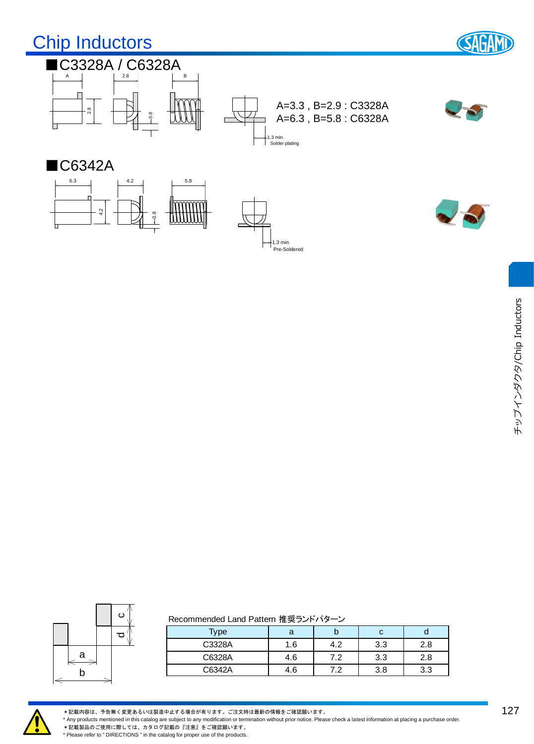



#### Recommended Land Pattern 推奨ランドパターン

| Type   | а   | IJ  | С   |     |
|--------|-----|-----|-----|-----|
| C3328A | .6  | 4.2 | 3.3 | 2.8 |
| C6328A | 4.6 | 7.2 | 3.3 | 2.8 |
| C6342A | 4.6 | ר ד | 3.8 | 3.3 |



\*記載内容は、予告無く変更あるいは製造中止する場合が有ります。ご注文時は最新の情報をご確認願います。

\* Any products mentioned in this catalog are subject to any modification or termination without prior notice. Please check a latest information at placing a purchase order. \*記載製品のご使用に際しては、カタログ記載の『注意』をご確認願います。

\* Please refer to " DIRECTIONS " in the catalog for proper use of the products.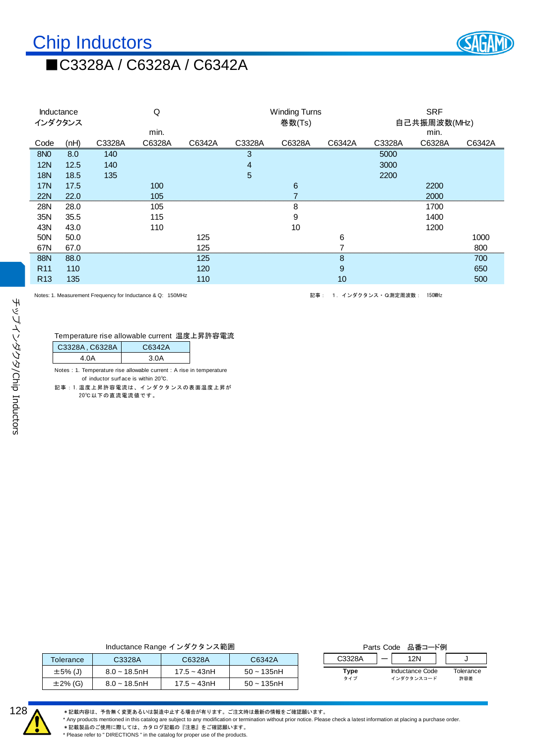

## ■C3328A / C6328A / C6342A

| Inductance      |      |                                                            | Q      |        |        | <b>Winding Turns</b> |        |                      | <b>SRF</b>   |        |
|-----------------|------|------------------------------------------------------------|--------|--------|--------|----------------------|--------|----------------------|--------------|--------|
| インダクタンス         |      |                                                            |        |        |        | 巻数(Ts)               |        |                      | 自己共振周波数(MHz) |        |
|                 |      |                                                            | min.   |        |        |                      |        |                      | min.         |        |
| Code            | (nH) | C3328A                                                     | C6328A | C6342A | C3328A | C6328A               | C6342A | C3328A               | C6328A       | C6342A |
| <b>8NO</b>      | 8.0  | 140                                                        |        |        | 3      |                      |        | 5000                 |              |        |
| <b>12N</b>      | 12.5 | 140                                                        |        |        | 4      |                      |        | 3000                 |              |        |
| <b>18N</b>      | 18.5 | 135                                                        |        |        | 5      |                      |        | 2200                 |              |        |
| 17N             | 17.5 |                                                            | 100    |        |        | 6                    |        |                      | 2200         |        |
| <b>22N</b>      | 22.0 |                                                            | 105    |        |        | $\overline{7}$       |        |                      | 2000         |        |
| 28N             | 28.0 |                                                            | 105    |        |        | 8                    |        |                      | 1700         |        |
| 35N             | 35.5 |                                                            | 115    |        |        | 9                    |        |                      | 1400         |        |
| 43N             | 43.0 |                                                            | 110    |        |        | 10                   |        |                      | 1200         |        |
| 50N             | 50.0 |                                                            |        | 125    |        |                      | 6      |                      |              | 1000   |
| 67N             | 67.0 |                                                            |        | 125    |        |                      | 7      |                      |              | 800    |
| 88N             | 88.0 |                                                            |        | 125    |        |                      | 8      |                      |              | 700    |
| R <sub>11</sub> | 110  |                                                            |        | 120    |        |                      | 9      |                      |              | 650    |
| R <sub>13</sub> | 135  |                                                            |        | 110    |        |                      | 10     |                      |              | 500    |
|                 |      | Notes: 1. Measurement Frequency for Inductance & Q: 150MHz |        |        |        | 記事:                  |        | 1. インダクタンス · Q測定周波数: | 150MHz       |        |
|                 |      |                                                            |        |        |        |                      |        |                      |              |        |
|                 |      |                                                            |        |        |        |                      |        |                      |              |        |
|                 |      |                                                            |        |        |        |                      |        |                      |              |        |
|                 |      | Temperature rise allowable current 温度上昇許容電流                |        |        |        |                      |        |                      |              |        |

| C6342A<br>4.0A<br>3.0A<br>Notes : 1. Temperature rise allowable current : A rise in temperature<br>of inductor surface is within 20°C.<br>記事:1.温度上昇許容電流は、インダクタンスの表面温度上昇が<br>20℃以下の直流電流値です。<br>Inductance Range インダクタンス範囲 |                | Temperature rise allowable current  温度上昇許容電流 |  |                   |
|--------------------------------------------------------------------------------------------------------------------------------------------------------------------------------------------------------------------------|----------------|----------------------------------------------|--|-------------------|
|                                                                                                                                                                                                                          | C3328A, C6328A |                                              |  |                   |
|                                                                                                                                                                                                                          |                |                                              |  |                   |
|                                                                                                                                                                                                                          |                |                                              |  |                   |
|                                                                                                                                                                                                                          |                |                                              |  |                   |
|                                                                                                                                                                                                                          |                |                                              |  |                   |
|                                                                                                                                                                                                                          |                |                                              |  |                   |
|                                                                                                                                                                                                                          |                |                                              |  |                   |
|                                                                                                                                                                                                                          |                |                                              |  |                   |
|                                                                                                                                                                                                                          |                |                                              |  |                   |
|                                                                                                                                                                                                                          |                |                                              |  |                   |
|                                                                                                                                                                                                                          |                |                                              |  |                   |
|                                                                                                                                                                                                                          |                |                                              |  |                   |
|                                                                                                                                                                                                                          |                |                                              |  |                   |
|                                                                                                                                                                                                                          |                |                                              |  |                   |
|                                                                                                                                                                                                                          |                |                                              |  |                   |
|                                                                                                                                                                                                                          |                |                                              |  |                   |
|                                                                                                                                                                                                                          |                |                                              |  |                   |
|                                                                                                                                                                                                                          |                |                                              |  |                   |
|                                                                                                                                                                                                                          |                |                                              |  |                   |
|                                                                                                                                                                                                                          |                |                                              |  |                   |
|                                                                                                                                                                                                                          |                |                                              |  |                   |
|                                                                                                                                                                                                                          |                |                                              |  |                   |
|                                                                                                                                                                                                                          |                |                                              |  |                   |
|                                                                                                                                                                                                                          |                |                                              |  |                   |
|                                                                                                                                                                                                                          |                |                                              |  |                   |
|                                                                                                                                                                                                                          |                |                                              |  |                   |
|                                                                                                                                                                                                                          |                |                                              |  |                   |
|                                                                                                                                                                                                                          |                |                                              |  |                   |
|                                                                                                                                                                                                                          |                |                                              |  | Parts Code 品番コード例 |

| <b>Tolerance</b> | C3328A          | C6328A        | C6342A        |  |  |  |
|------------------|-----------------|---------------|---------------|--|--|--|
| $\pm 5\%$ (J)    | $8.0 - 18.5$ nH | $17.5 - 43nH$ | $50 - 135$ nH |  |  |  |
| $\pm 2\%$ (G)    | $8.0 - 18.5$ nH | $17.5 - 43nH$ | $50 - 135$ nH |  |  |  |
|                  |                 |               |               |  |  |  |

| Parts Code 品番コード例 |  |                  |                                      |
|-------------------|--|------------------|--------------------------------------|
| C3328A            |  |                  |                                      |
| Type              |  | Tolerance<br>許容差 | <b>Inductance Code</b><br>インダクタンスコード |



チップインダクタ

/Chip Inductors

チップインダクタンChip Inductors

\*記載内容は、予告無く変更あるいは製造中止する場合が有ります。ご注文時は最新の情報をご確認願います。

\* Any products mentioned in this catalog are subject to any modification or termination without prior notice. Please check a latest information at placing a purchase order.

\*記載製品のご使用に際しては、カタログ記載の『注意』<br>※記載製品のご使用に際しては、カタログ記載の『注意』をご確認願います。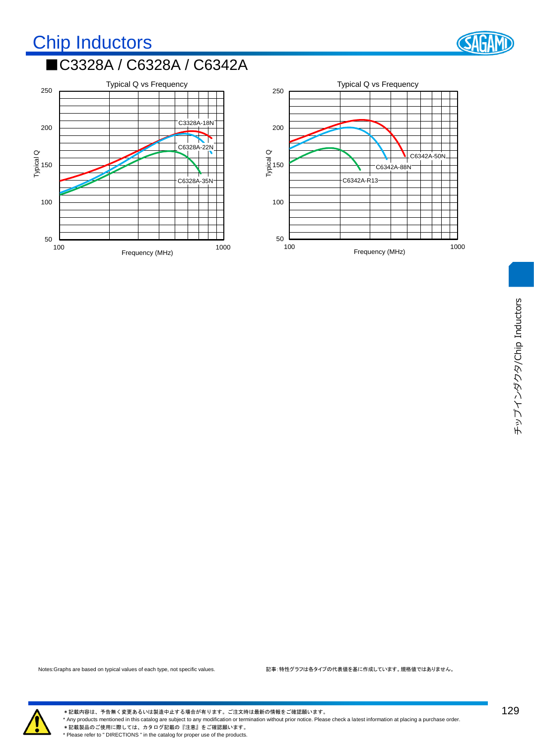## Chip Inductors ■C3328A / C6328A / C6342A







\*記載内容は、予告無く変更あるいは製造中止する場合が有ります。ご注文時は最新の情報をご確認願います。 \* Any products mentioned in this catalog are subject to any modification or termination without prior notice. Please check a latest information at placing a purchase order. \*記載製品のご使用に際しては、カタログ記載の『注意』をご確認願います。 \* Please refer to " DIRECTIONS " in the catalog for proper use of the products.

129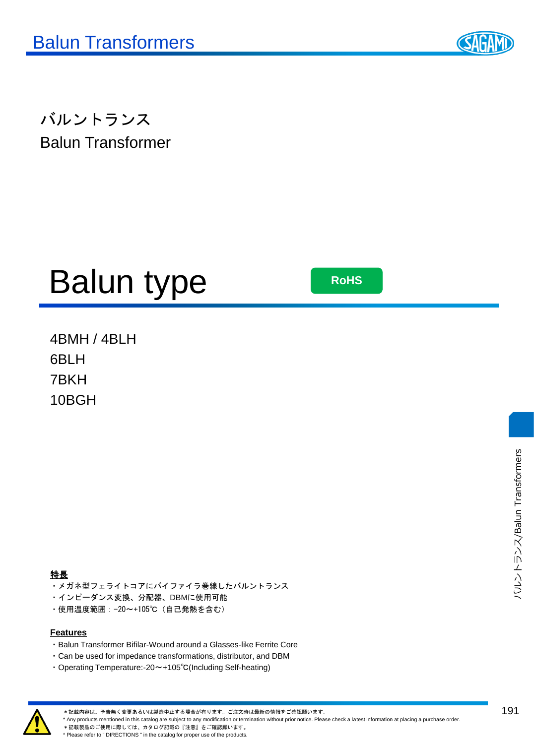

バルントランス Balun Transformer

# Balun type

**RoHS**

4BMH / 4BLH 6BLH 7BKH 10BGH

- ・メガネ型フェライトコアにバイファイラ巻線したバルントランス
- ・インピーダンス変換、分配器、DBMに使用可能
- ・使用温度範囲:-20~+105℃(自己発熱を含む)

#### **Features**

- ・Balun Transformer Bifilar-Wound around a Glasses-like Ferrite Core
- ・Can be used for impedance transformations, distributor, and DBM
- ・Operating Temperature:-20~+105℃(Including Self-heating)



\*記載内容は、予告無く変更あるいは製造中止する場合が有ります。ご注文時は最新の情報をご確認願います。

\* Any products mentioned in this catalog are subject to any modification or termination without prior notice. Please check a latest information at placing a purchase order.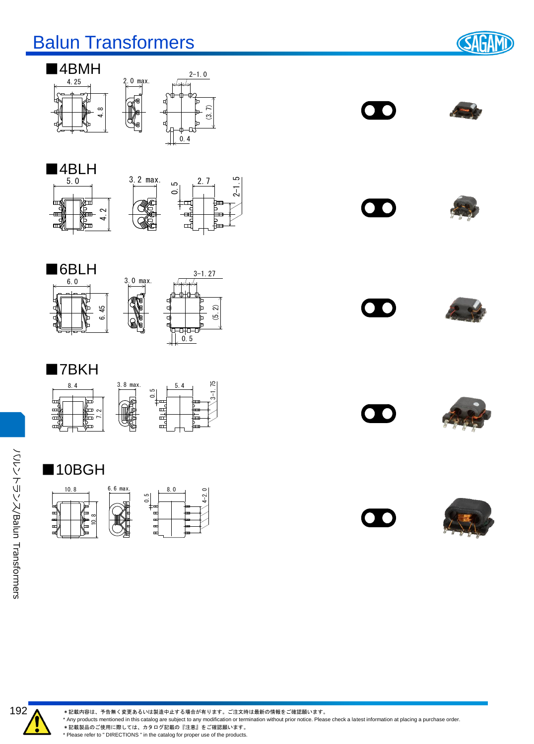## Balun Transformers

**SAGAM** 













### ■7BKH















バルントランス

ノジワンマルソン/Balun Transformers

Transformers

\*記載内容は、予告無く変更あるいは製造中止する場合が有ります。ご注文時は最新の情報をご確認願います。

\* Any products mentioned in this catalog are subject to any modification or termination without prior notice. Please check a latest information at placing a purchase order.